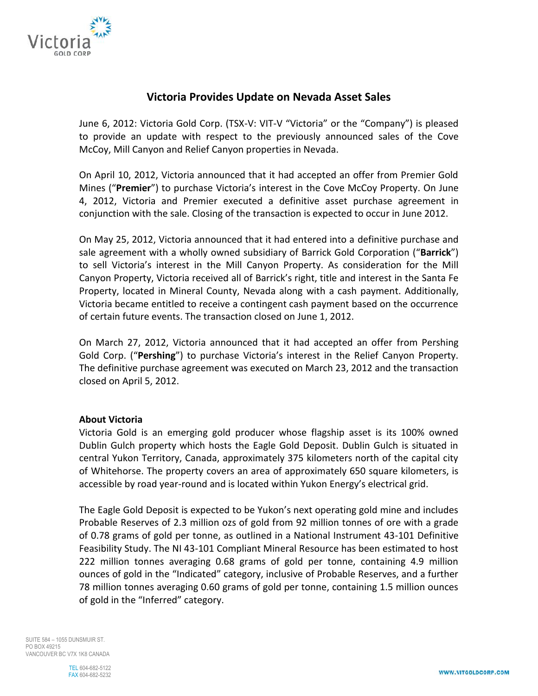

## **Victoria Provides Update on Nevada Asset Sales**

June 6, 2012: Victoria Gold Corp. (TSX-V: VIT-V "Victoria" or the "Company") is pleased to provide an update with respect to the previously announced sales of the Cove McCoy, Mill Canyon and Relief Canyon properties in Nevada.

On April 10, 2012, Victoria announced that it had accepted an offer from Premier Gold Mines ("**Premier**") to purchase Victoria's interest in the Cove McCoy Property. On June 4, 2012, Victoria and Premier executed a definitive asset purchase agreement in conjunction with the sale. Closing of the transaction is expected to occur in June 2012.

On May 25, 2012, Victoria announced that it had entered into a definitive purchase and sale agreement with a wholly owned subsidiary of Barrick Gold Corporation ("**Barrick**") to sell Victoria's interest in the Mill Canyon Property. As consideration for the Mill Canyon Property, Victoria received all of Barrick's right, title and interest in the Santa Fe Property, located in Mineral County, Nevada along with a cash payment. Additionally, Victoria became entitled to receive a contingent cash payment based on the occurrence of certain future events. The transaction closed on June 1, 2012.

On March 27, 2012, Victoria announced that it had accepted an offer from Pershing Gold Corp. ("**Pershing**") to purchase Victoria's interest in the Relief Canyon Property. The definitive purchase agreement was executed on March 23, 2012 and the transaction closed on April 5, 2012.

## **About Victoria**

Victoria Gold is an emerging gold producer whose flagship asset is its 100% owned Dublin Gulch property which hosts the Eagle Gold Deposit. Dublin Gulch is situated in central Yukon Territory, Canada, approximately 375 kilometers north of the capital city of Whitehorse. The property covers an area of approximately 650 square kilometers, is accessible by road year-round and is located within Yukon Energy's electrical grid.

The Eagle Gold Deposit is expected to be Yukon's next operating gold mine and includes Probable Reserves of 2.3 million ozs of gold from 92 million tonnes of ore with a grade of 0.78 grams of gold per tonne, as outlined in a National Instrument 43-101 Definitive Feasibility Study. The NI 43-101 Compliant Mineral Resource has been estimated to host 222 million tonnes averaging 0.68 grams of gold per tonne, containing 4.9 million ounces of gold in the "Indicated" category, inclusive of Probable Reserves, and a further 78 million tonnes averaging 0.60 grams of gold per tonne, containing 1.5 million ounces of gold in the "Inferred" category.